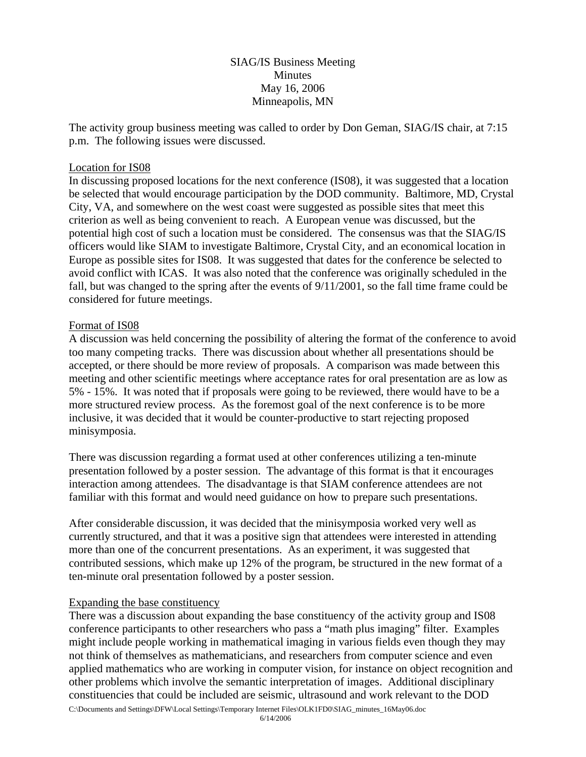# SIAG/IS Business Meeting Minutes May 16, 2006 Minneapolis, MN

The activity group business meeting was called to order by Don Geman, SIAG/IS chair, at 7:15 p.m. The following issues were discussed.

#### Location for IS08

In discussing proposed locations for the next conference (IS08), it was suggested that a location be selected that would encourage participation by the DOD community. Baltimore, MD, Crystal City, VA, and somewhere on the west coast were suggested as possible sites that meet this criterion as well as being convenient to reach. A European venue was discussed, but the potential high cost of such a location must be considered. The consensus was that the SIAG/IS officers would like SIAM to investigate Baltimore, Crystal City, and an economical location in Europe as possible sites for IS08. It was suggested that dates for the conference be selected to avoid conflict with ICAS. It was also noted that the conference was originally scheduled in the fall, but was changed to the spring after the events of 9/11/2001, so the fall time frame could be considered for future meetings.

#### Format of IS08

A discussion was held concerning the possibility of altering the format of the conference to avoid too many competing tracks. There was discussion about whether all presentations should be accepted, or there should be more review of proposals. A comparison was made between this meeting and other scientific meetings where acceptance rates for oral presentation are as low as 5% - 15%. It was noted that if proposals were going to be reviewed, there would have to be a more structured review process. As the foremost goal of the next conference is to be more inclusive, it was decided that it would be counter-productive to start rejecting proposed minisymposia.

There was discussion regarding a format used at other conferences utilizing a ten-minute presentation followed by a poster session. The advantage of this format is that it encourages interaction among attendees. The disadvantage is that SIAM conference attendees are not familiar with this format and would need guidance on how to prepare such presentations.

After considerable discussion, it was decided that the minisymposia worked very well as currently structured, and that it was a positive sign that attendees were interested in attending more than one of the concurrent presentations. As an experiment, it was suggested that contributed sessions, which make up 12% of the program, be structured in the new format of a ten-minute oral presentation followed by a poster session.

## Expanding the base constituency

There was a discussion about expanding the base constituency of the activity group and IS08 conference participants to other researchers who pass a "math plus imaging" filter. Examples might include people working in mathematical imaging in various fields even though they may not think of themselves as mathematicians, and researchers from computer science and even applied mathematics who are working in computer vision, for instance on object recognition and other problems which involve the semantic interpretation of images. Additional disciplinary constituencies that could be included are seismic, ultrasound and work relevant to the DOD